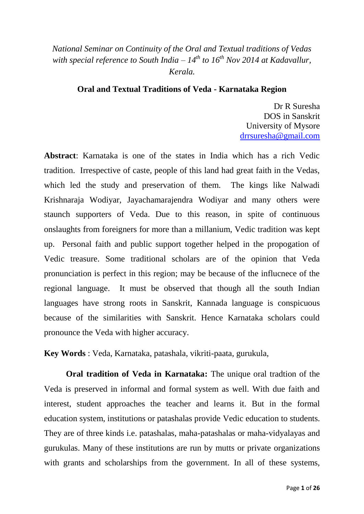## *National Seminar on Continuity of the Oral and Textual traditions of Vedas with special reference to South India –*  $14^{th}$  *to*  $16^{th}$  *Nov 2014 at Kadavallur, Kerala.*

## **Oral and Textual Traditions of Veda - Karnataka Region**

Dr R Suresha DOS in Sanskrit University of Mysore [drrsuresha@gmail.com](mailto:drrsuresha@gmail.com)

**Abstract**: Karnataka is one of the states in India which has a rich Vedic tradition. Irrespective of caste, people of this land had great faith in the Vedas, which led the study and preservation of them. The kings like Nalwadi Krishnaraja Wodiyar, Jayachamarajendra Wodiyar and many others were staunch supporters of Veda. Due to this reason, in spite of continuous onslaughts from foreigners for more than a millanium, Vedic tradition was kept up. Personal faith and public support together helped in the propogation of Vedic treasure. Some traditional scholars are of the opinion that Veda pronunciation is perfect in this region; may be because of the influcnece of the regional language. It must be observed that though all the south Indian languages have strong roots in Sanskrit, Kannada language is conspicuous because of the similarities with Sanskrit. Hence Karnataka scholars could pronounce the Veda with higher accuracy.

**Key Words** : Veda, Karnataka, patashala, vikriti-paata, gurukula,

**Oral tradition of Veda in Karnataka:** The unique oral tradtion of the Veda is preserved in informal and formal system as well. With due faith and interest, student approaches the teacher and learns it. But in the formal education system, institutions or patashalas provide Vedic education to students. They are of three kinds i.e. patashalas, maha-patashalas or maha-vidyalayas and gurukulas. Many of these institutions are run by mutts or private organizations with grants and scholarships from the government. In all of these systems,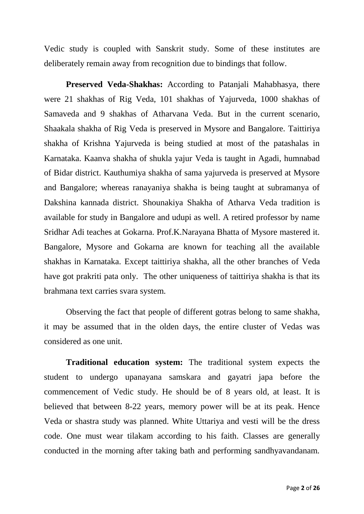Vedic study is coupled with Sanskrit study. Some of these institutes are deliberately remain away from recognition due to bindings that follow.

**Preserved Veda-Shakhas:** According to Patanjali Mahabhasya, there were 21 shakhas of Rig Veda, 101 shakhas of Yajurveda, 1000 shakhas of Samaveda and 9 shakhas of Atharvana Veda. But in the current scenario, Shaakala shakha of Rig Veda is preserved in Mysore and Bangalore. Taittiriya shakha of Krishna Yajurveda is being studied at most of the patashalas in Karnataka. Kaanva shakha of shukla yajur Veda is taught in Agadi, humnabad of Bidar district. Kauthumiya shakha of sama yajurveda is preserved at Mysore and Bangalore; whereas ranayaniya shakha is being taught at subramanya of Dakshina kannada district. Shounakiya Shakha of Atharva Veda tradition is available for study in Bangalore and udupi as well. A retired professor by name Sridhar Adi teaches at Gokarna. Prof.K.Narayana Bhatta of Mysore mastered it. Bangalore, Mysore and Gokarna are known for teaching all the available shakhas in Karnataka. Except taittiriya shakha, all the other branches of Veda have got prakriti pata only. The other uniqueness of taittiriya shakha is that its brahmana text carries svara system.

Observing the fact that people of different gotras belong to same shakha, it may be assumed that in the olden days, the entire cluster of Vedas was considered as one unit.

**Traditional education system:** The traditional system expects the student to undergo upanayana samskara and gayatri japa before the commencement of Vedic study. He should be of 8 years old, at least. It is believed that between 8-22 years, memory power will be at its peak. Hence Veda or shastra study was planned. White Uttariya and vesti will be the dress code. One must wear tilakam according to his faith. Classes are generally conducted in the morning after taking bath and performing sandhyavandanam.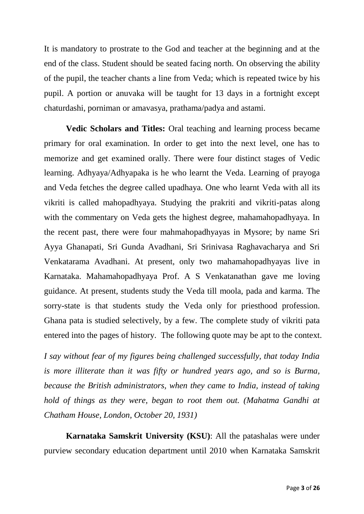It is mandatory to prostrate to the God and teacher at the beginning and at the end of the class. Student should be seated facing north. On observing the ability of the pupil, the teacher chants a line from Veda; which is repeated twice by his pupil. A portion or anuvaka will be taught for 13 days in a fortnight except chaturdashi, porniman or amavasya, prathama/padya and astami.

**Vedic Scholars and Titles:** Oral teaching and learning process became primary for oral examination. In order to get into the next level, one has to memorize and get examined orally. There were four distinct stages of Vedic learning. Adhyaya/Adhyapaka is he who learnt the Veda. Learning of prayoga and Veda fetches the degree called upadhaya. One who learnt Veda with all its vikriti is called mahopadhyaya. Studying the prakriti and vikriti-patas along with the commentary on Veda gets the highest degree, mahamahopadhyaya. In the recent past, there were four mahmahopadhyayas in Mysore; by name Sri Ayya Ghanapati, Sri Gunda Avadhani, Sri Srinivasa Raghavacharya and Sri Venkatarama Avadhani. At present, only two mahamahopadhyayas live in Karnataka. Mahamahopadhyaya Prof. A S Venkatanathan gave me loving guidance. At present, students study the Veda till moola, pada and karma. The sorry-state is that students study the Veda only for priesthood profession. Ghana pata is studied selectively, by a few. The complete study of vikriti pata entered into the pages of history. The following quote may be apt to the context.

*I say without fear of my figures being challenged successfully, that today India is more illiterate than it was fifty or hundred years ago, and so is Burma, because the British administrators, when they came to India, instead of taking hold of things as they were, began to root them out. (Mahatma Gandhi at Chatham House, London, October 20, 1931)*

**Karnataka Samskrit University (KSU)**: All the patashalas were under purview secondary education department until 2010 when Karnataka Samskrit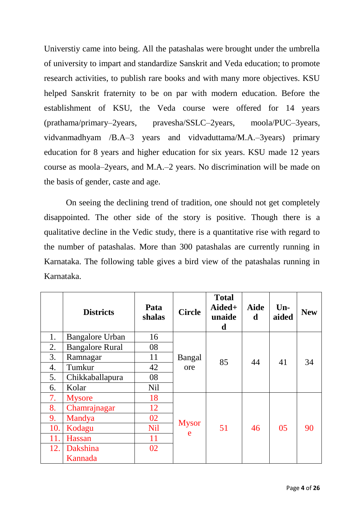Universtiy came into being. All the patashalas were brought under the umbrella of university to impart and standardize Sanskrit and Veda education; to promote research activities, to publish rare books and with many more objectives. KSU helped Sanskrit fraternity to be on par with modern education. Before the establishment of KSU, the Veda course were offered for 14 years (prathama/primary–2years, pravesha/SSLC–2years, moola/PUC–3years, vidvanmadhyam /B.A–3 years and vidvaduttama/M.A.–3years) primary education for 8 years and higher education for six years. KSU made 12 years course as moola–2years, and M.A.–2 years. No discrimination will be made on the basis of gender, caste and age.

On seeing the declining trend of tradition, one should not get completely disappointed. The other side of the story is positive. Though there is a qualitative decline in the Vedic study, there is a quantitative rise with regard to the number of patashalas. More than 300 patashalas are currently running in Karnataka. The following table gives a bird view of the patashalas running in Karnataka.

|     | <b>Districts</b>       | Pata<br>shalas  | <b>Circle</b> | <b>Total</b><br>Aided+<br>unaide<br>d | <b>Aide</b><br>d | $Un-$<br>aided | <b>New</b> |
|-----|------------------------|-----------------|---------------|---------------------------------------|------------------|----------------|------------|
| 1.  | <b>Bangalore Urban</b> | 16              |               |                                       |                  |                |            |
| 2.  | <b>Bangalore Rural</b> | 08              | Bangal<br>ore | 85                                    | 44               | 41             | 34         |
| 3.  | Ramnagar               | 11              |               |                                       |                  |                |            |
| 4.  | Tumkur                 | 42              |               |                                       |                  |                |            |
| 5.  | Chikkaballapura        | 08              |               |                                       |                  |                |            |
| 6.  | Kolar                  | N <sub>il</sub> |               |                                       |                  |                |            |
| 7.  | <b>Mysore</b>          | 18              |               |                                       |                  |                |            |
| 8.  | Chamrajnagar           | 12              |               | 51                                    | 46               | 05             | 90         |
| 9.  | Mandya                 | 02              |               |                                       |                  |                |            |
| 10. | Kodagu                 | <b>Nil</b>      | <b>Mysor</b>  |                                       |                  |                |            |
| 11. | Hassan                 | 11              | e             |                                       |                  |                |            |
| 12. | Dakshina               | 02              |               |                                       |                  |                |            |
|     | Kannada                |                 |               |                                       |                  |                |            |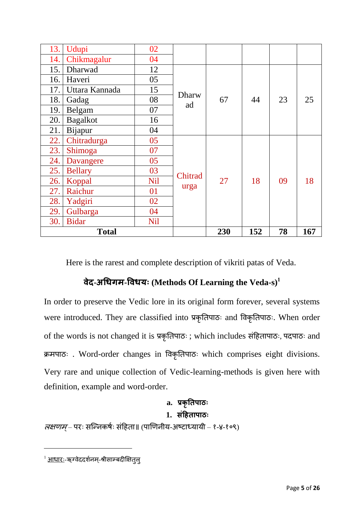| 13.<br>Udupi           | 02         |              |     |     |    |     |
|------------------------|------------|--------------|-----|-----|----|-----|
| Chikmagalur<br>14.     | 04         |              |     |     |    |     |
| Dharwad<br>15.         | 12         |              |     |     |    |     |
| Haveri<br>16.          | 05         |              | 67  | 44  | 23 | 25  |
| 17.<br>Uttara Kannada  | 15         | <b>Dharw</b> |     |     |    |     |
| 18.<br>Gadag           | 08         | ad           |     |     |    |     |
| Belgam<br>19.          | 07         |              |     |     |    |     |
| <b>Bagalkot</b><br>20. | 16         |              |     |     |    |     |
| Bijapur<br>21.         | 04         |              |     |     |    |     |
| Chitradurga<br>22.     | 05         |              |     | 18  | 09 | 18  |
| Shimoga<br>23.         | 07         |              |     |     |    |     |
| 24.<br>Davangere       | 05         |              |     |     |    |     |
| 25.<br><b>Bellary</b>  | 03         | Chitrad      |     |     |    |     |
| 26.<br>Koppal          | <b>Nil</b> |              | 27  |     |    |     |
| Raichur<br>27.         | 01         | urga         |     |     |    |     |
| 28.<br>Yadgiri         | 02         |              |     |     |    |     |
| 29.<br>Gulbarga        | 04         |              |     |     |    |     |
| <b>Bidar</b><br>30.    | Nil        |              |     |     |    |     |
| <b>Total</b>           |            |              | 230 | 152 | 78 | 167 |

Here is the rarest and complete description of vikriti patas of Veda.

# **वेद-अधिगम-ववियः (Methods Of Learning the Veda-s)<sup>1</sup>**

In order to preserve the Vedic lore in its original form forever, several systems were introduced. They are classified into प्रकृतिपाठः and विकृतिपाठः. When order of the words is not changed it is प्रकृतिपाठः ; which includes संहििापाठः, पदपाठः and क्रमपाठः . Word-order changes in विकृतिपाठः which comprises eight divisions. Very rare and unique collection of Vedic-learning-methods is given here with definition, example and word-order.

# **a. प्रकृतिपाठः**

## **1. संहििापाठः**

*लक्षणम्* – परः सन्निकर्षः संहिता॥ (पाणिनीय-अष्टाध्यायी – १-४-१०९)

1

<sup>&</sup>lt;sup>1</sup> <u>आधारः</u>-ऋग्वेददर्शनम्-श्रीसाम्बदीक्षित्**ल्**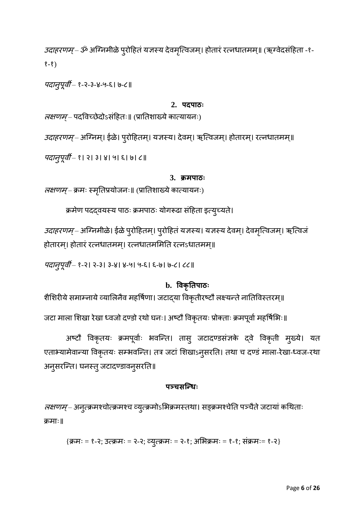उदाहरणम्– ॐ अग्निमीळे पुरोहितं यज्ञस्य देवमृत्विजम्। होतारं रत्नधातमम्॥ (ऋग्वेदसंहिता -१-१-१)

पदािुपूिी – १-२-३-४-५-६। ७-८॥

## **2. पदपाठः**

*लक्षणम्* – पदविच्छेदोऽसंहितः॥ (प्रातिशाख्ये कात्यायनः)

*उदाहरणम्* – अग्निम्। ईळे। पुरोहितम्। यज्ञस्य। देवम्। ऋत्विजम्। होतारम्। रत्नधातमम्॥

*पदान्पूर्वी* – १। २। ३। ४। ५। ६। ७। ८॥

### **3. क्रमपाठः**

*लक्षणम्–* क्रमः स्मृतिप्रयोजनः॥ (प्रातिशाख्ये कात्यायनः)

क्रमेण पदद्वयस्य पाठः क्रमपाठः योगरूढा संहिता इत्युच्यते।

*उदाहरणम्* – अग्निमीळे। ईळे पुरोहितम्। पुरोहितं यज्ञस्य। यज्ञस्य देवम्। देवमृत्विजम्। ऋत्विजं होतारम्। होतारं रत्नधातमम्। रत्नधातममिति रत्नऽधातमम्॥

*पदान्पूर्वी* – १-२। २-३। ३-४। ४-५। ५-६। ६-७। ७-८। ८८॥

## **b. ववकृतिपाठः**

शैशिरीये समाम्नाये व्यालिनैव महर्षिणा। जटाद्या विकृतीरष्टौ लक्ष्यन्ते नातिविस्तरम्॥

जटा माला शिखा रेखा ध्वजो दण्डो रथो घनः। अष्टौ विकृतयः प्रोक्ताः क्रमपूर्वा महर्षिभिः॥

अष्टौ विकृतयः क्रमपूर्वाः भवन्ति। तासु जटादण्डसंज्ञके द्वे विकृती मुख्ये। यत एताभ्यामेवान्या विकृतयः सम्भवन्ति। तत्र जटां शिखाऽनुसरति। तथा च दण्डं माला-रेखा-ध्वज-रथा अनुसरन्ति। घनस्तु जटादण्डावनुसरति॥

## **पञ्चसन्िः**

*लक्षणम्* – अनुत्क्रमश्चोत्क्रमश्च व्युत्क्रमोऽभिक्रमस्तथा। सङ्क्रमश्चेति पञ्चैते जटायां कथिताः क्रमाः॥

{क्रमः = १-२; उवक्रमः = २-२; व्युवक्रमः = २-१; अम क्रमः = १-१; संक्रमः= १-२}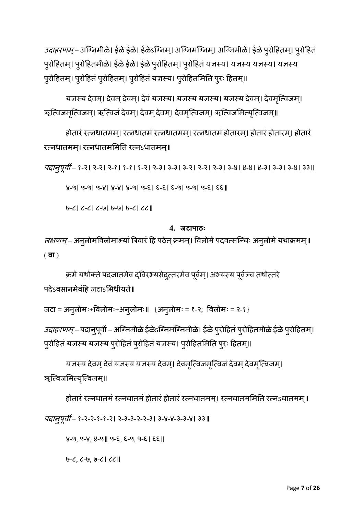उदाहरणम्– अग्निमीळे। ईळे ईळे। ईळेऽग्निम्। अग्न्निमग्निम्। अग्न्निमीळे। ईळे पुरोहितम्। पुरोहितं पुरोहितम्। पुरोहितमीळे। ईळे ईळे। ईळे पुरोहितम्। पुरोहितं यज्ञस्य। यज्ञस्य यज्ञस्य। यज्ञस्य पुरोहितम्। पुरोहितं पुरोहितम्। पुरोहितं यज्ञस्य। पुरोहितमिति पुरः हितम्॥

यज्ञस्य देवम्। देवम् देवम्। देवं यज्ञस्य। यज्ञस्य यज्ञस्य। यज्ञस्य देवम्। देवमृत्विजम्। ऋत्विजमृत्विजम्। ऋत्विजं देवम्। देवम् देवम्। देवमृत्विजम्। ऋत्विजमित्यृत्विजम्॥

होतारं रत्नधातमम। रत्नधातमं रत्नधातमम। रत्नधातमं होतारम। होतारं होतारम। होतारं रत्नधातमम्। रत्नधातममिति रत्नऽधातमम्॥

*पदान्पूर्वी* – १-२। २-२। २-१। १-१। १-२। २-३। ३-३। ३-२। २-२। २-३। ३-४। ४-४। ४-३। ३-३। ३-४। ३३॥

४-५। ५-५। ५-४। ४-४। ४-५। ५-६। ६-६। ६-५। ५-५। ५-६। ६६॥

७-८। ८-८। ८-७। ७-७। ७-८। ८८॥

## **4. जटापाठः**

*लक्षणम्* – अनुलोमविलोमाभ्यां त्रिवारं हि पठेत् क्रमम्। विलोमे पदवत्सन्धिः अनुलोमे यथाक्रमम्॥ ( **वा** )

क्रमे यथोक्ते पदजातमेव द्विरभ्यसेदुत्तरमेव पूर्वम्। अभ्यस्य पूर्वञ्च तथोत्तरे पदेऽवसानमेवंहि जटाऽभिधीयते॥

जटा = अनुलोमः+विलोमः+अनुलोमः॥  ${3}$ नुलोमः = १-२; विलोमः = २-१}

*उदाहरणम्* – पदानुपूर्वी – अग्निमीळे ईळेऽग्निमग्निमीळे। ईळे पुरोहितं पुरोहितमीळे ईळे पुरोहितम्। पुरोहितं यज्ञस्य यज्ञस्य पुरोहितं पुरोहितं यज्ञस्य। पुरोहितमिति पुरः हितम्॥

यज्ञस्य देवम् देवं यज्ञस्य यज्ञस्य देवम्। देवमृत्विजमृत्विजं देवम् देवमृत्विजम्। ऋत्विजमित्यृत्विजम्॥

होतारं रत्नधातमं रत्नधातमं होतारं होतारं रत्नधातमम। रत्नधातममिति रत्नऽधातमम॥

पदानूपूर्वी – १-२-२-१-१-२। २-३-३-२-२-३। ३-४-४-३-३-४। ३३॥

४-५, ५-४, ४-५॥ ५-६, ६-५, ५-६। ६६॥

७-८, ८-७, ७-८। ८८॥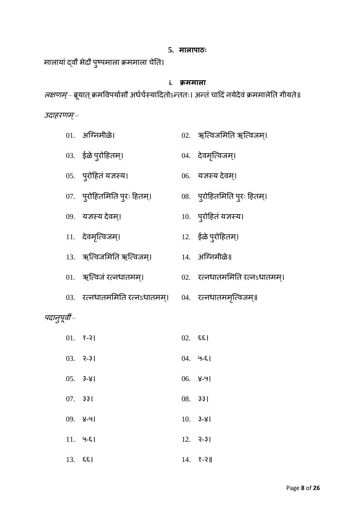## **5. मालापाठः**

मालायां दवौ भेदौ पुष्पमाला क्रममाला चेति।

## **i. क्रममाला**

*लक्षणम्* – ब्रूयात् क्रमविपयोसौ अधेचेस्यादितोऽन्ततः। अन्तं चादिं नयेदेवं क्रममार्लति गीयते॥ उदाहरणम्–

|              | 01. अग्निमीळे।                                              | 02. ऋत्विजमिति ऋत्विजम्।      |
|--------------|-------------------------------------------------------------|-------------------------------|
|              | 03. ईळे पुरोहितम्।                                          | 04. देवमृत्विजम्।             |
|              | 05. पुरोहितं यज्ञस्य।                                       | 06. यज्ञस्य देवम्।            |
|              | 07.    पुरोहितमिति पुरः हितम्।                              | 08. पुरोहितमिति पुरः हितम्।   |
|              | 09. यज्ञस्य देवम्।                                          | 10. पुरोहितं यज्ञस्य।         |
|              | 11. देवमृत्विजम्।                                           | 12. ईळे पुरोहितम्।            |
|              |                                                             |                               |
|              | 01. ऋत्विजं रत्नधातमम्।                                     | 02. रत्नधातममिति रत्नsधातमम्। |
|              | 03. रत्नधातममिति रत्नऽधातमम्।      04.   रत्नधातममृत्विजम्॥ |                               |
| पदानुपूर्वी– |                                                             |                               |
|              | $01.$ $8-21$                                                | $02.$ $\xi$ [                 |
|              | $03.$ $2-3$                                                 | $04.$ $9-8$                   |
|              | $05. 3-81$                                                  | $06.$ 8-91                    |
|              | $07.$ 33                                                    | $08.$ 33                      |
|              | $09.$ 8-91                                                  | $10.$ 3-81                    |
|              | $11.9 - E$                                                  | $12.$ $2-3$                   |
|              | $13.$ $55$                                                  | $14.$ $8-2$                   |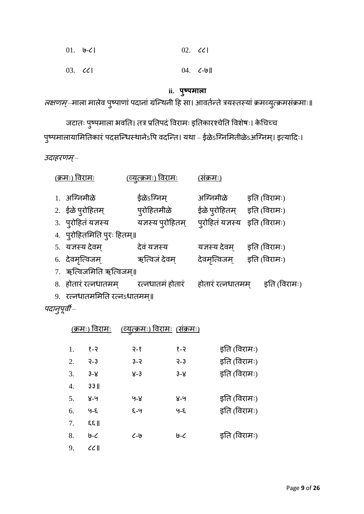| $01. 0 - C$         | $02.$ $\mathcal{C}$ |
|---------------------|---------------------|
| $03.$ $\mathcal{C}$ | $04. 6 - 9$         |

# **ii. पुष्पमाला**

*लक्षणम्* –माला मालेव पुष्पाणां पदानां ग्रन्थिनी हि सा। आवर्तन्ते त्रयस्तस्यां क्रमव्युत्क्रमसंक्रमाः॥

जटातः पुष्पमाला भवति। तत्र प्रतिपदं विरामः इतिकारश्चेति विशेषः। केचिच्च पुष्पमालायामितिकारं पदसन्धिस्थानेऽपि वदन्ति। यथा – ईळेऽग्निमितीळेऽअग्निम्। इत्यादिः।

उदाहरणम्–

| <u>(क्रमः) विरामः</u>        | <u>(व्युत्क्रमः) विरामः</u>                       | (सक्रमः)                      |              |
|------------------------------|---------------------------------------------------|-------------------------------|--------------|
| 1. अग्निमीळे                 | ईळेऽग्निम                                         | अग्निमीळे इति (विरामः)        |              |
| 2. ईळे प्रोहितम्             | प् <b>रोहितमीळे</b>                               | ईळे पुरोहितम् इति (विरामः)    |              |
| 3. पुरोहितं यज्ञस्य          | यज्ञस्य प्रोहितम्                                 | प्रोहितं यज्ञस्य इति (विरामः) |              |
| 4. पुरोहितमिति पुरः हितम्॥   |                                                   |                               |              |
| 5. यज्ञस्य देवम्             | देवं यज्ञस्य                                      | यज्ञस्य देवम                  | इति (विरामः) |
| 6. देवमृत्विजम्              | ऋत्विजं देवम्                                     | देवमृत्विजम् इति (विरामः)     |              |
| 7. ऋत्विजमिति ऋत्विजम्॥      |                                                   |                               |              |
|                              | 8.   होतारं रत्नधातमम्           रत्नधातमं होतारं | होतारं रत्नधातमम्             | इति (विरामः) |
| 9. रत्नधातममिति रत्नऽधातमम्॥ |                                                   |                               |              |

पदानुपूर्वी –

|    | <u>(क्रमः) विरामः</u> |                   | <u>(व्युत्क्रमः) विरामः  (संक्रमः)</u> |              |
|----|-----------------------|-------------------|----------------------------------------|--------------|
| 1. | १-२                   | $9 - 8$           | १-२                                    | इति (विरामः) |
| 2. | $-3$                  | $3 - 2$           | $-3$                                   | इति (विरामः) |
| 3. | $3 - 8$               | $8 - 3$           | $3 - 8$                                | इति (विरामः) |
| 4. | $33$                  |                   |                                        |              |
| 5. | $8-9$                 | 9-8               | $8-9$                                  | इति (विरामः) |
| 6. | $9 - E$               | $E - 9$           | $9 - E$                                | इति (विरामः) |
| 7. | $\mathbb{R}$          |                   |                                        |              |
| 8. | $9 - C$               | $\mathcal{C}$ -l9 | $0 - C$                                | इति (विरामः) |
| 9. | CC                    |                   |                                        |              |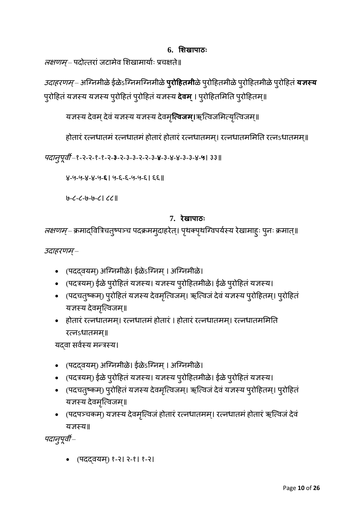• (पददवयम्) १-२। २-१। १-२।

पदान्पूर्वी –

यज्ञस्य॥

- (पदपञ्चकम्) यज्ञस्य देवमृत्विजं होतारं रत्नधातमम्। रत्नधातमं होतारं ऋत्विजं देवं
- (पदचत्ष्कम्) पुरोहितं यज्ञस्य देवमृत्विजम्। ऋत्विजं देवं यज्ञस्य पुरोहितम्। पुरोहितं यज्ञस्य देवमृत्विजम्॥
- 
- (पदत्रयम्) ईळे पुरोहितं यज्ञस्य। यज्ञस्य पुरोहितमीळे। ईळे पुरोहितं यज्ञस्य।
- (पदद्वयम्) अग्निमीळे। ईळेऽग्निम् । अग्निमीळे।

यदवा सर्वस्य मन्त्रस्य।

रत्नऽधातमम्॥

- यज्ञस्य देवमृत्विजम्॥ • होतारं रत्नधातमम्। रत्नधातमं होतारं । होतारं रत्नधातमम्। रत्नधातममिति
- (पदचतुष्कम्) पुरोहितं यज्ञस्य देवमृत्विजम्। ऋत्विजं देवं यज्ञस्य पुरोहितम्। पुरोहितं
- (पदत्रयम्) ईळे पुरोहितं यज्ञस्य। यज्ञस्य पुरोहितमीळे। ईळे पुरोहितं यज्ञस्य।
- (पदद्वयम्) अग्निमीळे। ईळेऽग्निम् । अग्निमीळे।

उदाहरणम्–

*लक्षणम्* – क्रमाद्वित्रिचतुष्पञ्च पदक्रममुदाहरेत्। पृथक्पृथग्विपयेस्य रेखामाहुः पुनः क्रमात्॥

**7. रेखापाठः**

७-८-८-७-७-८। ८८॥

४-५-५-४-४-५-**६**। ५-६-६-५-५-६। ६६॥

पदािुपूिी –१-२-२-१-१-२-**३**-२-३-३-२-२-३-**४**-३-४-४-३-३-४-**५**। ३३॥

यज्ञस्य देवम् देवं यज्ञस्य यज्ञस्य देवमृ**त्विजम्**।ऋत्विजमित्यृत्विजम्॥ होतारं रत्नधातमं रत्नधातमं होतारं होतारं रत्नधातमम्। रत्नधातममिति रत्नऽधातमम्॥

पुरोहितं यज्ञस्य यज्ञस्य पुरोहितं पुरोहितं यज्ञस्य **देवम्** । पुरोहितमिति पुरोहितम्॥

*लक्षणम्* – पदोत्तरां जटामेव शिखामायोः प्रचक्षते॥ *उदाहरणम्* – अग्निमीळे ईळेऽग्निमग्निमीळे **प्<b>रोहितमी**ळे पुरोहितमीळे पुरोहितमीळे पुरोहितं **यज्ञस्य** 

**6. शिखापाठः**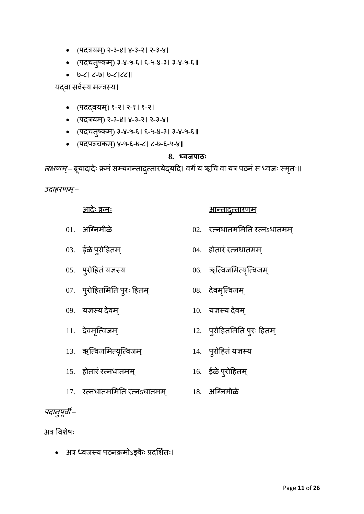- (पदत्रयम) ् २-३-४। ४-३-२। २-३-४।
- (पदचिुष्कम) ् ३-४-५-६। ६-५-४-३। ३-४-५-६॥
- ७-८। ८-७। ७-८।८८॥
- 
- 
- 
- 
- 
- 
- 
- 
- 
- 
- 
- 
- 
- 
- 
- 
- 
- यद्वा सर्वस्य मन्त्रस्य।
	- (पदद्वयम्) १-२। २-१। १-२।
	- (पदत्रयम) ् २-३-४। ४-३-२। २-३-४।
	- (पदचत्ष्कम्) ३-४-५-६। ६-५-४-३। ३-४-५-६॥
	- (पदपञ्चकम्) ४-५-६-७-८। ८-७-६-५-४॥

# **8. ध्वजपाठः**

*लक्षणम्* – ब्रूयादादेः क्रमं सम्यगन्तादुत्तारयेद्यदि। वर्गे य ऋचि वा यत्र पठनं स ध्वजः स्मृतः॥

<u>आदेः क्रमः</u> अग्निकारणम्

उदाहरणम्–

- $01.$  अग्निमीळे  $02.$  रत्नधातममिति रत्नऽधातमम्
- 03. ईळेपुरोहििम ् 04. िोिारं रविधािमम ्
- 
- 05. पुरोहितं यज्ञस्य १०६. २००६. ऋत्विजमित्यृत्विजम्
- 
- 07. पुरोहितमिति पुरः हितम्  $108.$  देवमृत्विजम्
- 09. यज्ञस्य देवम  $10.$  यज्ञस्य देवम
- 11. देिमन्ृविजम ् 12. पुरोहििममति पुरः हििम ्
- 13. ऋन्विजममवयन्ृविजम ् 14. पुरोहििंयज्ञस्य
- 15. िोिारं रविधािमम ् 16. ईळेपुरोहििम ्
- 17. रविधािमममति रविऽधािमम ् 18. अन्ग्िमीळे
- पदानुपूर्वी –

अत्र विशेषः

• अत्र ध्वजस्य पठनक्रमोऽङ्कैः प्रदर्शितः।

- 
- 
- 
-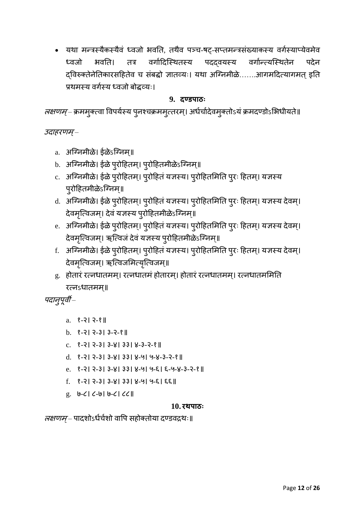• यथा मन्त्रस्यैकस्यैवं ध्वजो भवति, तथैव पञ्च-षट्-सप्तमन्त्रसंख्याकस्य वर्गस्याप्येवमेव ध्वजो भवति। तत्र वर्गादिस्थितस्य पदद्वयस्य वर्गान्त्यस्थितेन पदेन दविरुक्तेनेतिकारसहितेव च संबद्धो ज्ञातव्यः। यथा अग्निमीळे…….आगमदित्यागमत् इति प्रथमस्य वर्गस्य ध्वजो बोद्धव्यः।

## **9. दण्डपाठः**

*लक्षणम्* – क्रममुक्त्वा विपयेस्य पुनश्चक्रममुत्तरम्। अधेचोदेवमुक्तोऽयं क्रमदण्डोऽभिधीयते॥

उदाहरणम्–

- a. अग्निमीळे। ईळेऽग्निम्॥
- b. अग्निमीळे। ईळे पुरोहितम्। पुरोहितमीळेऽग्निम्॥
- c. अग्निमीळे। ईळे पुरोहितम्। पुरोहितं यज्ञस्य। पुरोहितमिति पुरः हितम्। यज्ञस्य पुरोहितमीळेऽग्निम्॥
- d. अग्निमीळे। ईळे पुरोहितम्। पुरोहितं यज्ञस्य। पुरोहितमिति पुरः हितम्। यज्ञस्य देवम्। देवमृत्विजम्। देवं यज्ञस्य पुरोहितमीळेऽग्निम्॥
- e. अग्निमीळे। ईळे पुरोहितम्। पुरोहितं यज्ञस्य। पुरोहितमिति पुरः हितम्। यज्ञस्य देवम्। देवमृत्विजम्। ऋत्विजं देवं यज्ञस्य पुरोहितमीळेऽग्निम्॥
- f. अग्निमीळे। ईळे पुरोहितम्। पुरोहितं यज्ञस्य। पुरोहितमिति पुरः हितम्। यज्ञस्य देवम्। देवमृत्विजम्। ऋत्विजमित्यृत्विजम्॥
- $g$ . होतारं रत्नधातमम्। रत्नधातमं होतारम्। होतारं रत्नधातमम्। रत्नधातममिति
- 
- 
- 

रत्नऽधातमम्॥

पदान्पूर्वी –

- a. १-२। २-१॥
- b. १-२। २-३। ३-२-१॥
- 
- 
- 
- 
- 
- 

g. ७-८। ८-७। ७-८। ८८॥

- 
- c. १-२। २-३। ३-४। ३३। ४-३-२-१॥
- 
- 
- 
- 
- 
- 
- -

d. १-२। २-३। ३-४। ३३। ४-५। ५-४-३-२-१॥

f. १-२। २-३। ३-४। ३३। ४-५। ५-६। ६६॥

e. १-२। २-३। ३-४। ३३। ४-५। ५-६। ६-५-४-३-२-१॥

Page **12** of **26**

**10. रथपाठः** *लक्षणम्* – पादशोऽधेचेशो वापि सहोक्तोया दण्डवद्रथः॥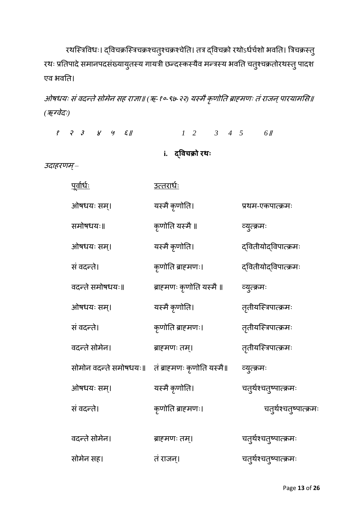रथस्त्रिविधः। द्विचक्रस्त्रिचक्रश्चत्9्चक्रश्चेति। तत्र द्विचक्रो रथोऽर्धर्चशो भवति। त्रिचक्रस्त् रथः प्रतिपादे समानपदसंख्यायुतस्य गायत्री छन्दस्कस्यैव मन्त्रस्य भवति चतुश्चक्रतोरथस्तु पादश एव भवति।

ओषधयः सं वदन्ते सोमेन सह राज्ञा॥ (ऋ-१०-९७-२२) यस्मै कृणोति ब्राह्मणः तं राजन् पारयामसि॥ *(ऋग्वेदः)* 

<sup>१</sup> <sup>२</sup> <sup>३</sup> <sup>४</sup> <sup>५</sup> ६॥ *1 2 3 4 5 6*॥ **i. द्ववचक्रो रथः** उदाहरणम्– <u>पूर्वार्धः</u> <u>उत्तरार्धः</u> ओषधयः सम्। यस्मै कृणोति। प्रथम-एकपात्क्रमः समोर्धयः॥ कृणोति यस्मै॥ व्युवक्रमः ओषधयः सम्। यस्मै कृणोति। द्वितीयोद्विपात्क्रमः संिदनिे। कृणोति ब्राह्मणः। द्वििीयोद्विपावक्रमः वदन्ते समोषधयः॥ ब्राहमणः कृणोति यस्मै ॥ व्युत्क्रमः ओषधयः सम्। यस्मै कृणोति। तृतीयस्त्रिपात्क्रमः संिदनिे। कृणोति ब्राह्मणः। ििृ ीयन्स्त्रपावक्रमः िदनिेसोमेि। ब्राह्मणः िम।् ििृ ीयन्स्त्रपावक्रमः सोमोन वदन्ते समोषधयः॥ तं ब्राहमणः कृणोति यस्मै॥ व्युत्क्रमः ओषधयः सम्। यस्मै कृणोति। चतुर्थश्चतुष्पात्क्रमः संिदनिे। कृणोति ब्राह्मणः। चिुथश्ष चिुष्पावक्रमः वदन्ते सोमेन। ब्राह्मणः तम्। चत्र्थश्चत्ष्पात्क्रमः सोमेन सह। तं राजन्। चत्र्थश्चत्ष्पात्क्रमः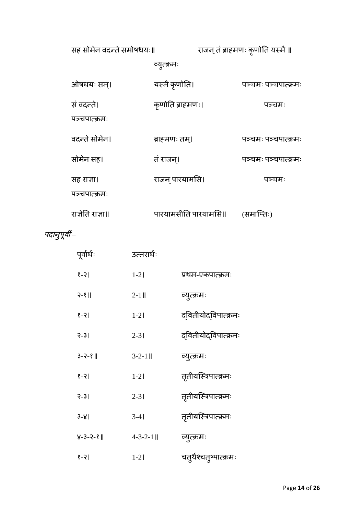| सह सोमेन वदन्ते समोषधयः॥    |                      | राजन् तं ब्राहमणः कृणोति यस्मै ॥ |  |  |
|-----------------------------|----------------------|----------------------------------|--|--|
|                             | व्युत्क्रमः          |                                  |  |  |
| ओषधयः सम्।                  | यस्मै कृणोति।        | पञ्चमः पञ्चपात्क्रमः             |  |  |
| सं वदन्ते।<br>पञ्चपात्क्रमः | कृणोति ब्राहमणः।     | पञ्चमः                           |  |  |
| वदन्ते सोमेन।               | ब्राहमणः तम्।        | पञ्चमः पञ्चपात्क्रमः             |  |  |
| सोमेन सह।                   | तं राजन्।            | पञ्चमः पञ्चपात्क्रमः             |  |  |
| सह राजा।<br>पञ्चपात्क्रमः   | राजन् पारयामसि।      | पञ्चमः                           |  |  |
| राजेति राजा॥                | पारयामसीति पारयामसि॥ | (समाप्तिः)                       |  |  |

पदानुपूर्वी –

| <u>पूर्वार्धः</u> | <u>उत्तरार्धः</u> |                        |
|-------------------|-------------------|------------------------|
| $ 9-3 $           | $1-21$            | प्रथम-एकपात्क्रमः      |
| $3 - 8$           | $2-1$ II          | व्युत्क्रमः            |
| $ 9-3 $           | $1-2$             | द्वितीयोद्विपात्क्रमः  |
| $3 - 31$          | $2 - 31$          | द्वितीयोद्विपात्क्रमः  |
| $3 - 2 - 8$       | $3 - 2 - 1$       | व्युत्क्रमः            |
| $ 9-3 $           | $1-2$             | तृतीयस्त्रिपात्क्रमः   |
| $3 - 31$          | $2 - 31$          | तृतीयस्त्रिपात्क्रमः   |
| $3 - 81$          | $3-41$            | तृतीयस्त्रिपात्क्रमः   |
| $8 - 3 - 2 - 8$   | $4 - 3 - 2 - 1$   | व्युत्क्रमः            |
| $ 9-3 $           | $1 - 21$          | चतृर्थश्चतृष्पात्क्रमः |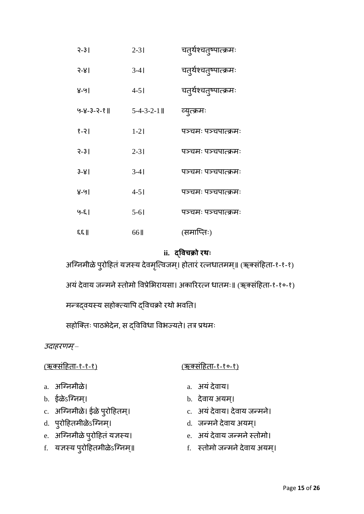| $3 - 31$            | $2 - 31$            | चतुर्थश्चतुष्पात्क्रमः |
|---------------------|---------------------|------------------------|
| $3 - 81$            | $3-41$              | चतुर्थश्चतुष्पात्क्रमः |
| ४-५।                | $4 - 51$            | चतुर्थश्चतुष्पात्क्रमः |
| $9 - 8 - 3 - 2 - 8$ | $5 - 4 - 3 - 2 - 1$ | व्युत्क्रमः            |
| $ 9-3 $             | $1-2$               | पञ्चमः पञ्चपात्क्रमः   |
| $3 - 31$            | $2 - 31$            | पञ्चमः पञ्चपात्क्रमः   |
| $3 - 81$            | $3-41$              | पञ्चमः पञ्चपात्क्रमः   |
| ४-५।                | $4 - 51$            | पञ्चमः पञ्चपात्क्रमः   |
| $9 - 51$            | $5 - 61$            | पञ्चमः पञ्चपात्क्रमः   |
| $\mathbb{R}$        | 66 II               | (समाप्तिः)             |

## **ii. द्ववचक्रो रथः**

अग्निमीळे पुरोहितं यज्ञस्य देवमृत्विजम्। होतारं रत्नधातमम्॥ (ऋक्संहिता-१-१-१)

अयं देवाय जन्मने स्तोमो विप्रेभिरायसा। अकारिरत्न धातमः॥ (ऋक्संहिता-१-१०-१)

मन्त्रद्वयस्य सहोक्त्यापि द्विचक्रो रथो भवति।

सहोक्तिः पाठभेदेन, स द्विविधा विभज्यते। तत्र प्रथमः

उदाहरणम्–

## (ऋकसंहििा-१-१-१) (ऋकसंहििा-१-१०-१)

- 
- b. ईळेऽन्ग्िम।् b. देिाय अयम।्
	-
	-
	-
- f. यज्ञस्य पुरोहितमीळेऽग्न्निम्॥ sated shared and frack सतोमो जन्मने देवाय अयम्।

- a. अग्न्ग्लिमीळे। a. अयं देवाय।
- 
- c. अग्न्मिमीळे। ईळे पुरोहितम्। c. अयं देवाय। देवाय जन्मने।
- d. पुरोहििमीळेऽन्ग्िम।् d. जनमिेदेिाय अयम।्
- e. अग्न्निमीळे पुरोहितं यज्ञस्य। e. अयं देवाय जन्मने स्तोमो।
-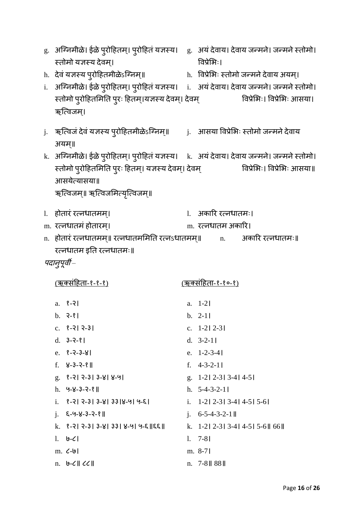- g. अग्निमीळे। ईळे पुरोहितम्। पुरोहितं यज्ञस्य। g. अयं देवाय। देवाय जन्मने। जन्मने स्तोमो। स्िोमो यज्ञस्य देिम।् विप्रेम ः।
- h. देवं यज्ञस्य पुरोहितमीळेऽग्निम्॥ h. विप्रेभिः स्तोमो जन्मने देवाय अयम्।

i. अग्निमीळे। ईळे पुरोहितम्। पुरोहितं यज्ञस्य। i. अयं देवाय। देवाय जन्मने। जन्मने स्तोमो। स्तोमो पुरोहितमिति पुरः हितम्।यज्ञस्य देवम्। देवम् विप्रेभिः। विप्रेभिः आसया। ऋत्विजम।

- j. ऋत्विजं देवं यज्ञस्य पुरोहितमीळेऽग्निम्॥ j. आसया विप्रेभिः स्तोमो जन्मने देवाय अयम॥्
- k. अग्निमीळे। ईळे पुरोहितम्। पुरोहितं यज्ञस्य। k. अयं देवाय। देवाय जन्मने। जन्मने स्तोमो। स्तोमो पुरोहितमिति पुरः हितम्। यज्ञस्य देवम्। देवम् विप्रेभिः। विप्रेभिः आसया॥ आसयेवयासया॥

ऋत्विजम्॥ ऋत्विजमित्यृत्विजम्॥

- l. िोिारं रविधािमम।् l. अकारर रविधािमः।
	-
- m. रत्नधातमं होतारम्। www.m. रत्नधातम अकारि।
- n. िोिारं रविधािमम॥् रविधािमममति रविऽधािमम॥् n. अकारर रविधािमः॥ रत्नधातम इति रत्नधातमः॥

पदान्पूर्वी –

a. १-२। a. 1-2। b. २-१। b. 2-1। c. १-२। २-३। c. 1-2। 2-3। d. ३-२-१। d. 3-2-1। e. १-२-३-४। e. 1-2-3-4। f. ४-३-२-१॥ f. 4-3-2-1। g. १-२। २-३। ३-४। ४-५। g. 1-2। 2-3। 3-4। 4-5। h. ५-४-३-२-१॥ h. 5-4-3-2-1। i.  $8-3|3-8|3-8|33|8-9|9-8|$ <br>i. 1-2|2-3|3-4|4-5|5-6| j. ६-५-४-३-२-१॥ j. 6-5-4-3-2-1॥ k. १-२। २-३। ३-४। ३३। ४-५। ५-६॥६६॥ k. 1-2। 2-3। 3-4। 4-5। 5-6॥ 66॥  $\frac{1}{2}$   $\frac{1}{2}$   $\frac{7-81}{2}$ m. ८-७। m. 8-7। n. ७-८॥ ८८॥ n. 7-8॥ 88॥

(ऋकसंहििा-१-१-१) (ऋकसंहििा-१-१०-१)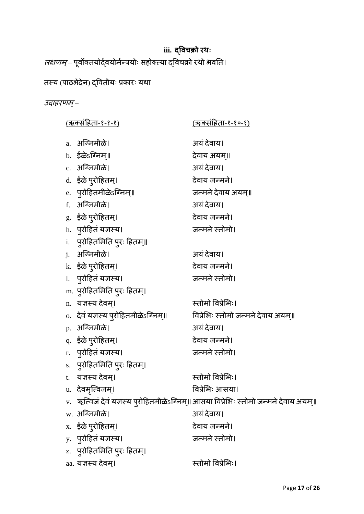# **iii. द्ववचक्रो रथः**

*लक्षणम्* – पूर्वौक्तयोदे्वयोमेन्त्रयोः सहोक्त्या द्विचक्रो रथो भवति।

# तस्य (पाठभेदेन) द्वितीयः प्रकारः यथा

# उदाहरणम्–

| <u>(ऋक्संहिता-१-१-१)</u>              | <u>(ऋक्संहिता-१-१०-१)</u>                                                              |
|---------------------------------------|----------------------------------------------------------------------------------------|
| a. अग्निमीळे।                         | अयं देवाय।                                                                             |
| b. ईळेऽग्निम्॥                        | देवाय अयम्॥                                                                            |
| c. अग्निमीळे।                         | अयं देवाय।                                                                             |
| d. ईळे प् <b>रोहितम्</b> ।            | देवाय जन्मने।                                                                          |
| e. प् <b>रोहितमीळे</b> ऽग्निम्॥       | जन्मने देवाय अयम्॥                                                                     |
| f. अग्निमीळे।                         | अयं देवाय।                                                                             |
| g.) ईळे प् <b>रोहितम्</b> ।           | देवाय जन्मने।                                                                          |
| h. पुरोहितं यज्ञस्य।                  | जन्मने स्तोमो।                                                                         |
| i. प् <b>रोहितमिति पुरः हितम्</b> ॥   |                                                                                        |
| <u>i. अग्निमीळे।</u>                  | अयं देवाय।                                                                             |
| k.) ईळे प् <b>रोहितम्</b> ।           | देवाय जन्मने।                                                                          |
| 1. पुरोहितं यज्ञस्य।                  | जन्मने स्तोमो।                                                                         |
| m. पुरोहितमिति पुरः हितम्।            |                                                                                        |
| n. यज्ञस्य देवम्।                     | स्तोमो विप्रेभिः।                                                                      |
| o.   देवं यज्ञस्य पुरोहितमीळेऽग्निम्॥ | विप्रेभिः स्तोमो जन्मने देवाय अयम्॥                                                    |
| p. अग्निमीळे।                         | अयं देवाय।                                                                             |
| q.) ईळे प् <b>रोहितम्</b> ।           | देवाय जन्मने।                                                                          |
| r. पुरोहितं यज्ञस्य।                  | जन्मने स्तोमो।                                                                         |
| s. पुरोहितमिति पुरः हितम्।            |                                                                                        |
| t. यज्ञस्य देवम्।                     | स्तोमो विप्रेभिः।                                                                      |
| u. देवमृत्विजम्।                      | विप्रेभिः आसया।                                                                        |
|                                       | v.   ऋत्विजं देवं यज्ञस्य पुरोहितमीळेऽग्निम्॥ आसया विप्रेभिः स्तोमो जन्मने देवाय अयम्॥ |
| w. अग्निमीळे।                         | अयं देवाय।                                                                             |
| x. ईळे पुरोहितम्।                     | देवाय जन्मने।                                                                          |
| y.) पुरोहितं यज्ञस्य।                 | जन्मने स्तोमो।                                                                         |
| z. पुरोहितमिति पुरः हितम्।            |                                                                                        |
| aa. यज्ञस्य देवम्।                    | स्तोमो विप्रेभिः।                                                                      |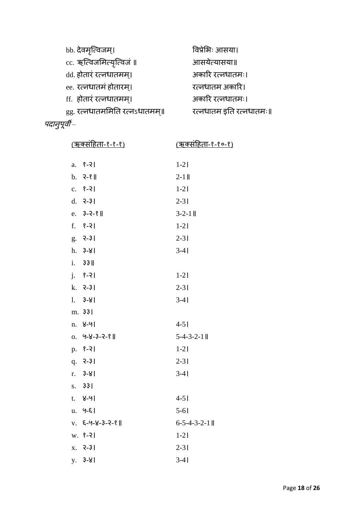| bb. देवमृत्विजम्।             | विप्रेभिः आसया।         |
|-------------------------------|-------------------------|
| cc. ऋत्विजमित्यृत्विजं ॥      | आसयेत्यासया॥            |
| dd. होतारं रत्नधातमम्।        | अकारि रत्नधातमः।        |
| ee. रत्नधातमं होतारम्।        | रत्नधातम अकारि।         |
| ff. होतारं रत्नधातमम्।        | अकारि रत्नधातमः।        |
| gg. रत्नधातममिति रत्नऽधातमम्॥ | रत्नधातम इति रत्नधातमः॥ |
|                               |                         |

| u<br>G.<br>lσ1<br>ο<br>u |
|--------------------------|
|                          |
|                          |

| <u>(ऋकर्साहेता-१-१-१)</u> |                            | <u>(ऋक्संहिता-१-१०-१)</u> |
|---------------------------|----------------------------|---------------------------|
|                           | a. $8-21$                  | $1 - 21$                  |
|                           |                            |                           |
|                           | $b. 3-8$                   | $2 - 11$                  |
|                           | $c. 8-21$                  | $1-21$                    |
|                           | $d. 3-3$                   | $2 - 31$                  |
|                           | e. $3-2-8$                 | $3 - 2 - 1$               |
|                           | $f.$ $8-2$                 | $1 - 21$                  |
|                           | $g. 7 - 31$                | $2 - 31$                  |
|                           | $h. 3-81$                  | $3-41$                    |
|                           | i. 33                      |                           |
|                           | $j.$ $8-21$                | $1-21$                    |
|                           | $k. 3-31$                  | $2 - 31$                  |
|                           | $1. 3 - 8$                 | $3-41$                    |
|                           | m. 331                     |                           |
| n.                        | ४-५।                       | $4 - 51$                  |
|                           | $0.9 - 8 - 3 - 2 - 8$      | $5-4-3-2-1$               |
|                           | $p. 8-21$                  | $1 - 21$                  |
|                           | $q. 3-31$                  | $2 - 31$                  |
|                           | $r. 3-8$                   | $3-41$                    |
|                           | s. 331                     |                           |
| t.                        | ४-५।                       | $4 - 51$                  |
| u.                        | $9 - 5$                    | $5 - 61$                  |
|                           | $V. 6 - 9 - 8 - 3 - 2 - 8$ | $6 - 5 - 4 - 3 - 2 - 1$   |
|                           | $W. 8-21$                  | $1 - 21$                  |
| X.                        | $3 - 31$                   | $2 - 31$                  |
|                           | $y. 3-81$                  | $3-41$                    |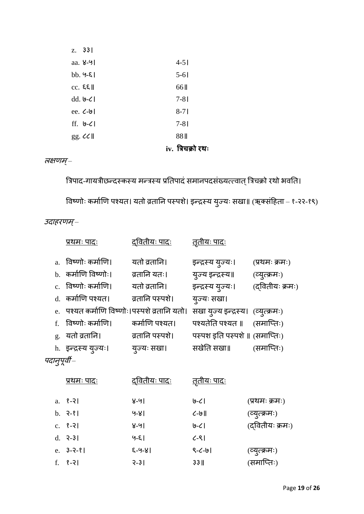| $gg.$ $CC$ $  $                   | 88 <sub>II</sub> |
|-----------------------------------|------------------|
| $ff.$ $9-C$                       | $7 - 81$         |
| ee. $\mathcal{L}$ - $\mathcal{L}$ | $8-71$           |
| dd. $\theta$ - $\zeta$            | $7 - 81$         |
| $cc.$ $EE$                        | 66 II            |
| $bb.9-8$                          | $5-61$           |
| aa. $8-9$                         | $4 - 51$         |
| Z. 33                             |                  |

## **iv. त्रिचक्रो रथः**

### लक्षणम्–

त्रिपाद-गायत्रीछन्दस्कस्य मन्त्रस्य प्रतिपादं समानपदसंख्यत्त्वात् त्रिचक्रो रथो भवति। विष्णोः कर्माणि पश्यत। यतो व्रतानि पस्पशे। इन्द्रस्य युज्यः सखा॥ (ऋक्संहिता – १-२२-१९)

उदाहरणम्–

|             | प्रथमः पादः                                  | <u>दवितीयः पादः</u> | <u>तृतीयः पादः</u>                 |                 |
|-------------|----------------------------------------------|---------------------|------------------------------------|-----------------|
|             | a. विष्णोः कर्माणि।                          | यतो व्रतानि।        | इन्द्रस्य युज्यः।                  | (प्रथमः क्रमः)  |
|             | b. कर्माणि विष्णोः।                          | व्रतानि यतः।        | युज्य इन्द्रस्य॥                   | (व्युत्क्रमः)   |
|             | c. विष्णोः कर्माणि।                          | यतो व्रतानि।        | इन्द्रस्य युज्यः।                  | (दवितीयः क्रमः) |
|             | d. कर्माणि पश्यत।                            | व्रतानि पस्पशे।     | युज्यः संखा।                       |                 |
|             | e. पश्यत कर्माणि विष्णोः।पस्पशे व्रतानि यतो। |                     | सखा युज्य इन्द्रस्य। (व्युत्क्रमः) |                 |
|             | f. विष्णोः कर्माणि।                          | कर्माणि पश्यत।      | पश्यतेति पश्यत ॥                   | (समाप्तिः)      |
|             | g. यतो व्रतानि।                              | व्रतानि पस्पशे।     | पस्पश इति पस्पर्शे ॥ (समाप्तिः)    |                 |
|             | h. इन्द्रस्य युज्यः।                         | युज्यः सखा।         | सखेति सखा॥                         | (समाप्तिः)      |
| पदानपूर्वी– |                                              |                     |                                    |                 |

| <u>प्रथमः पादः</u> | <u>दवितीयः पादः</u> | <u>तृतीयः पादः</u> |                 |
|--------------------|---------------------|--------------------|-----------------|
| a. $8 - 21$        | ४-५।                | ا ے-قا             | (प्रथमः क्रमः)  |
| $b. 3-8$           | $9 - 81$            | $\zeta$ -9         | (व्युत्क्रमः)   |
| $c.$ $9-21$        | ४-५।                | $9 - C$            | (दवितीयः क्रमः) |
| $d. 3-31$          | $9 - 5$             | $C-8$              |                 |
| e. $3-2-8$         | $8 - 9 - 8$         | $9 - 6 - 9$        | (व्युत्क्रमः)   |
| $f. 8-21$          | $3 - 31$            | $33$               | (समाप्तिः)      |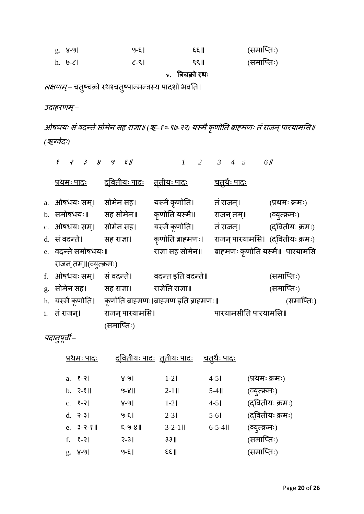| ୁ 8-91  | ५-६।              | $E \in \mathbb{R}$ | (समाप्तिः) |
|---------|-------------------|--------------------|------------|
| h. ७-८। | $\mathcal{L}$ -SI | ९९॥                | (समाप्तिः) |

**v. त्रिचक्रो रथः**

*लक्षणम्*– चतुष्चक्रो रथश्चतुष्पान्मन्त्रस्य पादशो भवति।

उदाहरणम्–

ओषधयः सं वदन्ते सोमेन सह राज्ञा॥ (ऋ–१०-९७-२२) यस्मै कृणोति ब्राह्मणः तं राजन् पारयामसि॥ *(ऋग्वेदः)* 

| $8$ $7$ $3$ $8$ $9$ $5$ $1$ |                                  | $1 \quad 2$                                            | $3 \quad 4 \quad 5$             | 6 //            |
|-----------------------------|----------------------------------|--------------------------------------------------------|---------------------------------|-----------------|
| <u>प्रथमः पादः</u>          | <u>द्वितीयः पादः तृतीयः पादः</u> |                                                        | <u>चतुर्थः पादः</u>             |                 |
| a. ओषधयः सम्।               | सोमेन सह।                        | यस्मै कृणोति।                                          | तं राजन्।                       | (प्रथमः क्रमः)  |
| b. समोषधयः॥                 | सह सोमेन॥                        | कृणोति यस्मै॥                                          | राजन् तम्॥                      | (व्युत्क्रमः)   |
| c. ओषधयः सम्। सोमेन सह।     |                                  | यस्मै कृणोति।                                          | तं राजन्।                       | (दवितीयः क्रमः) |
| d. सं वदन्ते।               | सह राजा।                         | कृणोति ब्राहमणः।                                       | राजन् पारयामसि। (दवितीयः क्रमः) |                 |
| e. वदन्ते समोषधयः॥          |                                  | राज्ञा सह सोमेन॥                                       | ब्राहमणः कृणोति यस्मै॥ पारयामसि |                 |
| राजन् तम्॥(व्युत्क्रमः)     |                                  |                                                        |                                 |                 |
| f. ओषधयः सम्।               | सं वदन्ते।                       | वदन्त इति वदन्ते॥                                      |                                 | (समाप्तिः)      |
| g. सोमेन सह।                | सह राजा।                         | राजेति राजा॥                                           |                                 | (समाप्तिः)      |
|                             |                                  | h. यस्मै कृणोति। कृणोति ब्राहमणः।ब्राहमण इति ब्राहमणः॥ |                                 | (समाप्तिः)      |
| i. तं राजन्।                | राजन् पारयामसि।                  |                                                        | पारयामसीति पारयामसि॥            |                 |
|                             | (समाप्तिः)                       |                                                        |                                 |                 |

पदानुपूर्वी –

|    | <u>प्रथमः पादः</u>     |             | <u>द्वितीयः पादः तृतीयः पादः</u> | <u>चतथैः पादः</u> |                 |
|----|------------------------|-------------|----------------------------------|-------------------|-----------------|
|    | a. $8 - 21$            | ४-५।        | $1-2$                            | $4 - 51$          | (प्रथमः क्रमः)  |
|    | $b.$ $2-8$ $\parallel$ | $9 - 8$     | $2-1$                            | $5-4$ II          | (व्युत्क्रमः)   |
|    | $c. 8-21$              | ४-५।        | $1-2$                            | $4 - 51$          | (दवितीयः क्रमः) |
|    | $d. 3-31$              | $9 - 5$     | $2 - 31$                         | $5 - 61$          | (दवितीयः क्रमः) |
|    | e. $3-2-8$             | $8 - 9 - 8$ | $3 - 2 - 1$                      | $6 - 5 - 4$       | (व्युत्क्रमः)   |
| f. | १-२।                   | $3 - 31$    | $33$                             |                   | (समाप्तिः)      |
|    | $g. 8-91$              | $9 - 5$     | ६६॥                              |                   | (समाप्तिः)      |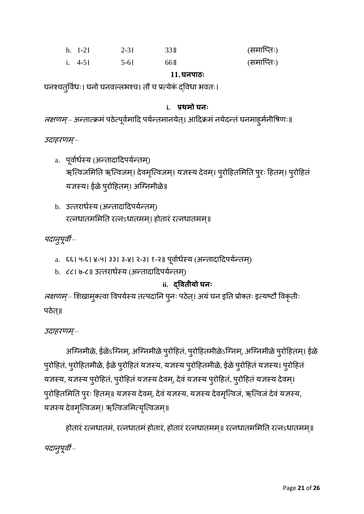| $h. 1-21$ | $2 - 31$ | 33 II | (समाप्तिः) |
|-----------|----------|-------|------------|
| i. $4-5$  | $5-6$    | 66 II | (समाप्तिः) |

### **11.घनपाठः**

घनश्चतुर्विधः। घनो घनवल्लभश्च। तौ च प्रत्येक द्विधा भवतः।

## **i. प्रथमो घनः**

*लक्षणम्* – अन्तात्क्रमं पठेत्पूर्वमादि पर्यन्तमानयेत्। आदिक्रमं नयेदन्तं घनमाहुमेनीषिणः॥

उदाहरणम्–

- a. पूर्वार्धस्य (अन्तादादिपर्यन्तम्) ऋत्विजमिति ऋत्विजम्। देवमृत्विजम्। यज्ञस्य देवम्। पुरोहितमिति पुरः हितम्। पुरोहितं यज्ञस्य। ईळे पुरोहितम्। अग्निमीळे॥
- b. उत्तरार्धस्य (अन्तादादिपर्यन्तम) रत्नधातममिति रत्नsधातमम्। होतारं रत्नधातमम्॥

पदानुपूर्वी –

- a. ६६। ५-६। ४-५। ३३। ३-४। २-३। १-२॥ पूर्वार्धस्य (अन्तादादिपर्यन्तम्)
- b. ८८। ७-८॥ उत्तरार्धस्य (अन्तादादिपर्यन्तम्)

## **ii. द्वविीयो घनः**

*लक्षणम्* – शिखामुक्त्वा विपर्यस्य तत्पदानि पुनः पठेत्। अयं घन इति प्रोक्तः इत्यष्टौ विकृतीः पठेत॥

उदाहरणम्–

अग्निमीळे, ईळेऽग्निम्, अग्निमीळे पुरोहितं, पुरोहितमीळेऽग्निम्, अग्न्निमीळे पुरोहितम्। ईळे पुरोहितं, पुरोहितमीळे, ईळे पुरोहितं यज्ञस्य, यज्ञस्य पुरोहितमीळे, ईळे पुरोहितं यज्ञस्य। पुरोहितं यज्ञस्य, यज्ञस्य पुरोहितं, पुरोहितं यज्ञस्य देवम्, देवं यज्ञस्य पुरोहितं, पुरोहितं यज्ञस्य देवम्। पुरोहितमिति पुरः हितम्॥ यज्ञस्य देवम्, देवं यज्ञस्य, यज्ञस्य देवमृत्विजं, ऋत्विजं देवं यज्ञस्य, यज्ञस्य देवमृत्विजम्। ऋत्विजमित्यृत्विजम्॥

होतारं रत्नधातमं, रत्नधातमं होतारं, होतारं रत्नधातमम्॥ रत्नधातममिति रत्नऽधातमम्॥ पदानुपूर्वी –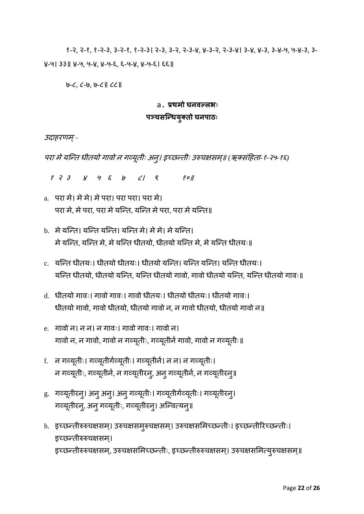१-२, २-१, १-२-३, ३-२-१, १-२-३। २-३, ३-२, २-३-४, ४-३-२, २-३-४। ३-४, ४-३, ३-४-५, ५-४-३, ३- ४-५। ३३॥ ४-५, ५-४, ४-५-६, ६-५-४, ४-५-६। ६६॥

७-८, ८-७, ७-८॥ ८८॥

## a. **प्रथमो घनवल्लभः**

## **पञ्चसन्ियुक्िो घनपाठः**

उदाहरणम्–

परा मेयन्नि धीियो गािो ि गव्यूिीः अिु। इच्छनिीः उरुचक्षसम॥् *(*ऋकसंहििा*-*१*-*२५*-*१६*)*

१ २ ३ ४ ५ ६ ७ ८। ९ १०॥

- a. परा मे। मे मे। मे परा। परा परा। परा मे। परा मे, मे परा, परा मे यन्ति, यन्ति मे परा, परा मे यन्ति॥
- b. मेयन्नि। यन्नि यन्नि। यन्नि मे। मेमे। मेयन्नि। मे यन्ति, यन्ति मे, मे यन्ति धीतयो, धीतयो यन्ति मे, मे यन्ति धीतयः॥
- c. यन्नि धीियः। धीियो धीियः। धीियो यन्नि। यन्नि यन्नि। यन्नि धीियः। यन्ति धीतयो, धीतयो यन्ति, यन्ति धीतयो गावो, गावो धीतयो यन्ति, यन्ति धीतयो गावः॥
- d. धीतयो गावः। गावो गावः। गावो धीतयः। धीतयो धीतयः। धीतयो गावः। धीतयो गावो, गावो धीतयो, धीतयो गावो न, न गावो धीतयो, धीतयो गावो न॥
- e. गावो न। न न। न गावः। गावो गावः। गावो न। गावो न, न गावो, गावो न गर्व्यूतीः, गर्व्यूतीर्न गावो, गावो न गर्व्यूतीः॥
- f. ) न गव्यूतीः। गव्यूतीर्गव्यूतीः। गव्यूतीर्न। न न। न गव्यूतीः। न गव्यूतीः, गव्यूतीर्न, न गव्यूतीरन्, अनु गव्यूतीर्न, न गव्यूतीरनु॥
- g. गव्यूतीरनु। अनु अनु। अनु गव्यूतीः। गव्यूतीर्गव्यूतीः। गव्यूतीरनु। गव्यूतीरनु, अनु गव्यूतीः, गव्यूतीरनु। अन्वित्यनु॥
- h. इच्छन्तीरुरुचक्षसम्। उरुचक्षसमुरुचक्षसम्। उरुचक्षसमिच्छन्तीः। इच्छन्तीरिच्छन्तीः। इच्छनिीरुरुचक्षसम।् इच्छन्तीरुरुचक्षसम्, उरुचक्षसमिच्छन्तीः, इच्छन्तीरुरुचक्षसम्। उरुचक्षसमित्युरुचक्षसम्॥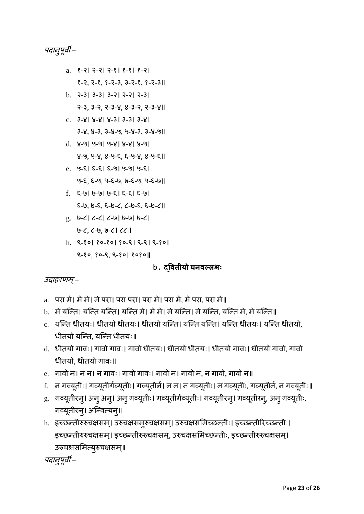पदान्पूर्वी –

- a. १-२। २-२। २-१। १-१। १-२। १-२, २-१, १-२-३, ३-२-१, १-२-३॥
- b. २-३। ३-३। ३-२। २-२। २-३। २-३, ३-२, २-३-४, ४-३-२, २-३-४॥
- c. ३-४। ४-४। ४-३। ३-३। ३-४। ३-४, ४-३, ३-४-५, ५-४-३, ३-४-५॥
- d. ४-५। ५-५। ५-४। ४-४। ४-५। ४-५, ५-४, ४-५-६, ६-५-४, ४-५-६॥
- e. ५-६। ६-६। ६-५। ५-५। ५-६। ५-६, ६-५, ५-६-७, ७-६-५, ५-६-७॥
- f. ६-७। ७-७। ७-६। ६-६। ६-७। ६-७, ७-६, ६-७-८, ८-७-६, ६-७-८॥
- g. ७-८। ८-८। ८-७। ७-७। ७-८। ७-८, ८-७, ७-८। ८८॥
- h. ९-१०। १०-१०। १०-९। ९-९। ९-१०। ९-१०, १०-९, ९-१०। १०१०॥

b. **द्वविीयो घनवल्लभः**

## उदाहरणम्–

- a. परा मे। मेमे। मेपरा। परा परा। परा मे। परा मे, मेपरा, परा मे॥
- b. मे यन्ति। यन्ति यन्ति। यन्ति मे। मे मे। मे यन्ति। मे यन्ति, यन्ति मे, मे यन्ति॥
- c. यन्नि धीियः। धीियो धीियः। धीियो यन्नि। यन्नि यन्नि। यन्नि धीियः। यन्नि धीियो, धीतयो यन्ति, यन्ति धीतयः॥
- d. धीतयो गावः। गावो गावः। गावो धीतयः। धीतयो धीतयः। धीतयो गावः। धीतयो गावो, गावो धीतयो, धीतयो गावः॥
- e. गावो न। न न। न गावः। गावो गावः। गावो न। गावो न, न गावो, गावो न॥
- f. न गव्यूतीः। गव्यूतीर्गव्यूतीः। गव्यूतीर्न। न न। न गव्यूतीः। न गव्यूतीः, गव्यूतीर्न, न गव्यूतीः॥
- g. गव्यूतीरन्। अन् अन्। अन् गव्यूतीः। गव्यूतीर्गव्यूतीः। गव्यूतीरन्। गव्यूतीरन्, अन् गव्यूतीः, गव्यूतीरन्। अन्वित्यन्॥
- h. इच्छन्तीरुरुचक्षसम्। उरुचक्षसमुरुचक्षसम्। उरुचक्षसमिच्छन्तीः। इच्छन्तीरिच्छन्तीः। इच्छन्तीरुरुचक्षसम्। इच्छन्तीरुरुचक्षसम्, उरुचक्षसमिच्छन्तीः, इच्छन्तीरुरुचक्षसम्। उरुचक्षसमित्युरुचक्षसम्॥

पदान्पूर्वी –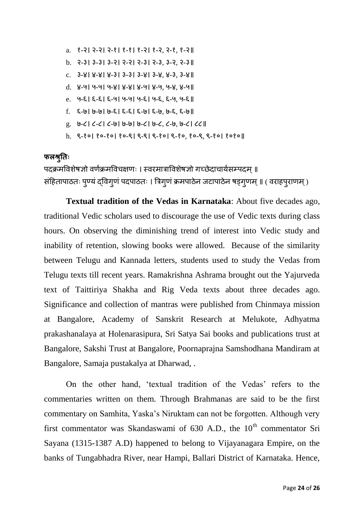- a. १-२। २-२। २-१। १-१। १-२। १-२, २-१, १-२॥ b. २-३। ३-३। ३-२। २-२। २-३। २-३, ३-२, २-३॥ c. ३-४। ४-४। ४-३। ३-३। ३-४। ३-४, ४-३, ३-४॥ d. ४-५। ५-५। ५-४। ४-४। ४-५। ४-५, ५-४, ४-५॥ e. ५-६। ६-६। ६-५। ५-५। ५-६। ५-६, ६-५, ५-६॥ f. ६-७। ७-७। ७-६। ६-६। ६-७। ६-७, ७-६, ६-७॥ g. ७-८। ८-८। ८-७। ७-७। ७-८। ७-८, ८-७, ७-८। ८८॥
- h. ९-१०। १०-१०। १०-९। ९-९। ९-१०। ९-१०, १०-९, ९-१०। १०१०॥

## **फलश्रतुिः**

पदक्रमविशेषज्ञो वर्णक्रमविचक्षणः । स्वरमात्राविशेषज्ञो गच्छेदाचार्यसम्पदम ॥ संहितापाठतः पुण्यं द्विगुणं पदपाठतः । त्रिगुणं क्रमपाठेन जटापाठेन षड्गुणम् ॥ ( वराहपुराणम् )

**Textual tradition of the Vedas in Karnataka**: About five decades ago, traditional Vedic scholars used to discourage the use of Vedic texts during class hours. On observing the diminishing trend of interest into Vedic study and inability of retention, slowing books were allowed. Because of the similarity between Telugu and Kannada letters, students used to study the Vedas from Telugu texts till recent years. Ramakrishna Ashrama brought out the Yajurveda text of Taittiriya Shakha and Rig Veda texts about three decades ago. Significance and collection of mantras were published from Chinmaya mission at Bangalore, Academy of Sanskrit Research at Melukote, Adhyatma prakashanalaya at Holenarasipura, Sri Satya Sai books and publications trust at Bangalore, Sakshi Trust at Bangalore, Poornaprajna Samshodhana Mandiram at Bangalore, Samaja pustakalya at Dharwad, .

On the other hand, 'textual tradition of the Vedas' refers to the commentaries written on them. Through Brahmanas are said to be the first commentary on Samhita, Yaska's Niruktam can not be forgotten. Although very first commentator was Skandaswami of 630 A.D., the  $10<sup>th</sup>$  commentator Sri Sayana (1315-1387 A.D) happened to belong to Vijayanagara Empire, on the banks of Tungabhadra River, near Hampi, Ballari District of Karnataka. Hence,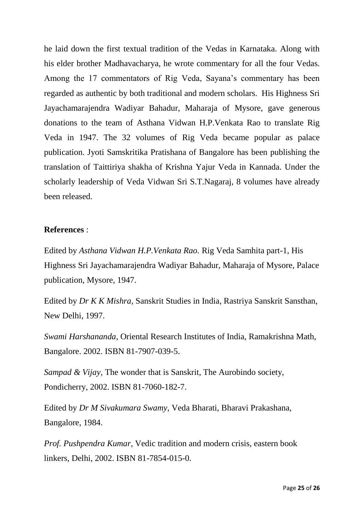he laid down the first textual tradition of the Vedas in Karnataka. Along with his elder brother Madhavacharya, he wrote commentary for all the four Vedas. Among the 17 commentators of Rig Veda, Sayana's commentary has been regarded as authentic by both traditional and modern scholars. His Highness Sri Jayachamarajendra Wadiyar Bahadur, Maharaja of Mysore, gave generous donations to the team of Asthana Vidwan H.P.Venkata Rao to translate Rig Veda in 1947. The 32 volumes of Rig Veda became popular as palace publication. Jyoti Samskritika Pratishana of Bangalore has been publishing the translation of Taittiriya shakha of Krishna Yajur Veda in Kannada. Under the scholarly leadership of Veda Vidwan Sri S.T.Nagaraj, 8 volumes have already been released.

### **References** :

Edited by *Asthana Vidwan H.P.Venkata Rao.* Rig Veda Samhita part-1, His Highness Sri Jayachamarajendra Wadiyar Bahadur, Maharaja of Mysore, Palace publication, Mysore, 1947.

Edited by *Dr K K Mishra*, Sanskrit Studies in India, Rastriya Sanskrit Sansthan, New Delhi, 1997.

*Swami Harshananda*, Oriental Research Institutes of India, Ramakrishna Math, Bangalore. 2002. ISBN 81-7907-039-5.

*Sampad & Vijay*, The wonder that is Sanskrit, The Aurobindo society, Pondicherry, 2002. ISBN 81-7060-182-7.

Edited by *Dr M Sivakumara Swamy,* Veda Bharati, Bharavi Prakashana, Bangalore, 1984.

*Prof. Pushpendra Kumar*, Vedic tradition and modern crisis, eastern book linkers, Delhi, 2002. ISBN 81-7854-015-0.